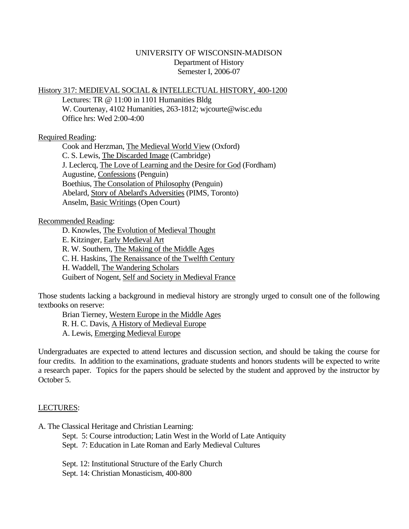# UNIVERSITY OF WISCONSIN-MADISON Department of History Semester I, 2006-07

## History 317: MEDIEVAL SOCIAL & INTELLECTUAL HISTORY, 400-1200

 Lectures: TR @ 11:00 in 1101 Humanities Bldg W. Courtenay, 4102 Humanities, 263-1812; wjcourte@wisc.edu Office hrs: Wed 2:00-4:00

## Required Reading:

 Cook and Herzman, The Medieval World View (Oxford) C. S. Lewis, The Discarded Image (Cambridge) J. Leclercq, The Love of Learning and the Desire for God (Fordham) Augustine, Confessions (Penguin) Boethius, The Consolation of Philosophy (Penguin) Abelard, Story of Abelard's Adversities (PIMS, Toronto) Anselm, Basic Writings (Open Court)

## Recommended Reading:

- D. Knowles, The Evolution of Medieval Thought
- E. Kitzinger, Early Medieval Art
- R. W. Southern, The Making of the Middle Ages
- C. H. Haskins, The Renaissance of the Twelfth Century
- H. Waddell, The Wandering Scholars
- Guibert of Nogent, Self and Society in Medieval France

Those students lacking a background in medieval history are strongly urged to consult one of the following textbooks on reserve:

 Brian Tierney, Western Europe in the Middle Ages R. H. C. Davis, A History of Medieval Europe

- A. Lewis, Emerging Medieval Europe
- 

Undergraduates are expected to attend lectures and discussion section, and should be taking the course for four credits. In addition to the examinations, graduate students and honors students will be expected to write a research paper. Topics for the papers should be selected by the student and approved by the instructor by October 5.

# LECTURES:

- A. The Classical Heritage and Christian Learning:
	- Sept. 5: Course introduction; Latin West in the World of Late Antiquity Sept. 7: Education in Late Roman and Early Medieval Cultures
	- Sept. 12: Institutional Structure of the Early Church
	- Sept. 14: Christian Monasticism, 400-800